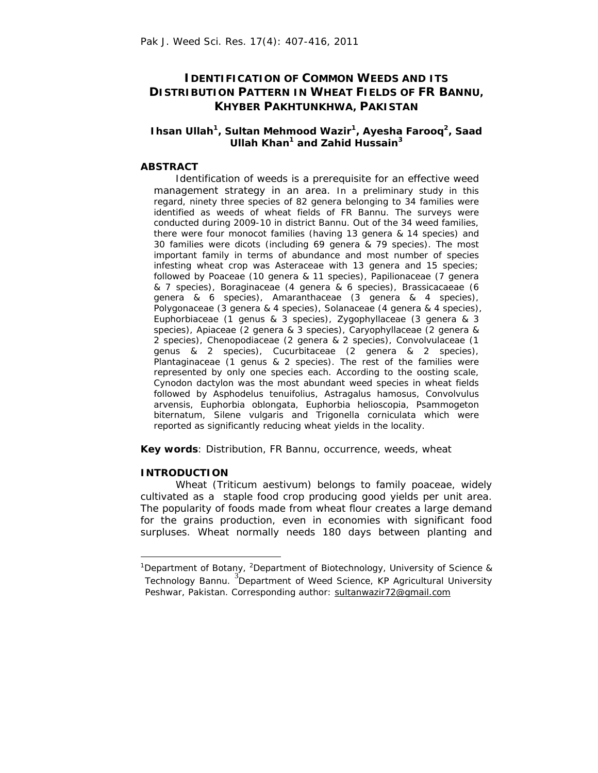# **IDENTIFICATION OF COMMON WEEDS AND ITS DISTRIBUTION PATTERN IN WHEAT FIELDS OF FR BANNU, KHYBER PAKHTUNKHWA, PAKISTAN**

# **Ihsan Ullah<sup>1</sup>, Sultan Mehmood Wazir<sup>1</sup>, Ayesha Farooq<sup>2</sup>, Saad Ullah Khan<sup>1</sup> and Zahid Hussain<sup>3</sup>**

# **ABSTRACT**

 *Identification of weeds is a prerequisite for an effective weed management strategy in an area. In a preliminary study in this regard, ninety three species of 82 genera belonging to 34 families were identified as weeds of wheat fields of FR Bannu. The surveys were conducted during 2009-10 in district Bannu. Out of the 34 weed families, there were four monocot families (having 13 genera & 14 species) and 30 families were dicots (including 69 genera & 79 species). The most important family in terms of abundance and most number of species infesting wheat crop was Asteraceae with 13 genera and 15 species; followed by Poaceae (10 genera & 11 species), Papilionaceae (7 genera & 7 species), Boraginaceae (4 genera & 6 species), Brassicacaeae (6 genera & 6 species), Amaranthaceae (3 genera & 4 species), Polygonaceae (3 genera & 4 species), Solanaceae (4 genera & 4 species), Euphorbiaceae (1 genus & 3 species), Zygophyllaceae (3 genera & 3 species), Apiaceae (2 genera & 3 species), Caryophyllaceae (2 genera & 2 species), Chenopodiaceae (2 genera & 2 species), Convolvulaceae (1 genus & 2 species), Cucurbitaceae (2 genera & 2 species), Plantaginaceae (1 genus & 2 species). The rest of the families were represented by only one species each. According to the oosting scale, Cynodon dactylon was the most abundant weed species in wheat fields followed by Asphodelus tenuifolius, Astragalus hamosus, Convolvulus arvensis, Euphorbia oblongata, Euphorbia helioscopia, Psammogeton biternatum, Silene vulgaris and Trigonella corniculata which were reported as significantly reducing wheat yields in the locality.*

**Key words**: Distribution, FR Bannu, occurrence, weeds, wheat

### **INTRODUCTION**

 $\overline{a}$ 

 Wheat (*Triticum aestivum*) belongs to family poaceae, widely cultivated as a staple food crop producing good yields per unit area. The popularity of foods made from wheat flour creates a large demand for the grains production, even in economies with significant food surpluses. Wheat normally needs 180 days between planting and

<sup>&</sup>lt;sup>1</sup>Department of Botany, <sup>2</sup>Department of Biotechnology, University of Science & Technology Bannu. <sup>3</sup>Department of Weed Science, KP Agricultural University Peshwar, Pakistan. Corresponding author: sultanwazir72@gmail.com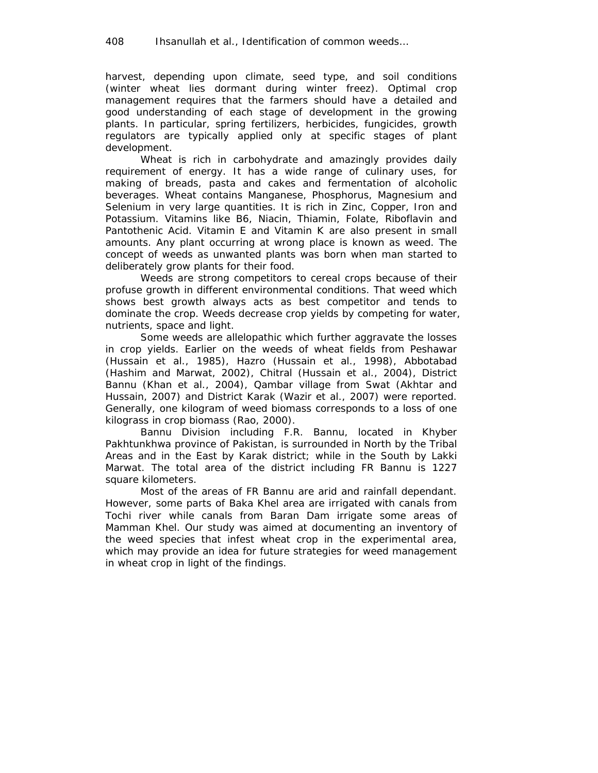harvest, depending upon climate, seed type, and soil conditions (winter wheat lies dormant during winter freez). Optimal crop management requires that the farmers should have a detailed and good understanding of each stage of development in the growing plants. In particular, spring fertilizers, herbicides, fungicides, growth regulators are typically applied only at specific stages of plant development.

 Wheat is rich in carbohydrate and amazingly provides daily requirement of energy. It has a wide range of culinary uses, for making of breads, pasta and cakes and fermentation of alcoholic beverages. Wheat contains Manganese, Phosphorus, Magnesium and Selenium in very large quantities. It is rich in Zinc, Copper, Iron and Potassium. Vitamins like B6, Niacin, Thiamin, Folate, Riboflavin and Pantothenic Acid. Vitamin E and Vitamin K are also present in small amounts. Any plant occurring at wrong place is known as weed. The concept of weeds as unwanted plants was born when man started to deliberately grow plants for their food.

Weeds are strong competitors to cereal crops because of their profuse growth in different environmental conditions. That weed which shows best growth always acts as best competitor and tends to dominate the crop. Weeds decrease crop yields by competing for water, nutrients, space and light.

Some weeds are allelopathic which further aggravate the losses in crop yields. Earlier on the weeds of wheat fields from Peshawar (Hussain *et al.,* 1985), Hazro (Hussain *et al.,* 1998), Abbotabad (Hashim and Marwat, 2002), Chitral (Hussain *et al.,* 2004), District Bannu (Khan *et al.,* 2004), Qambar village from Swat (Akhtar and Hussain, 2007) and District Karak (Wazir *et al.,* 2007) were reported. Generally, one kilogram of weed biomass corresponds to a loss of one kilograss in crop biomass (Rao, 2000).

 Bannu Division including F.R. Bannu, located in Khyber Pakhtunkhwa province of Pakistan, is surrounded in North by the Tribal Areas and in the East by Karak district; while in the South by Lakki Marwat. The total area of the district including FR Bannu is 1227 square kilometers.

Most of the areas of FR Bannu are arid and rainfall dependant. However, some parts of Baka Khel area are irrigated with canals from Tochi river while canals from Baran Dam irrigate some areas of Mamman Khel. Our study was aimed at documenting an inventory of the weed species that infest wheat crop in the experimental area, which may provide an idea for future strategies for weed management in wheat crop in light of the findings.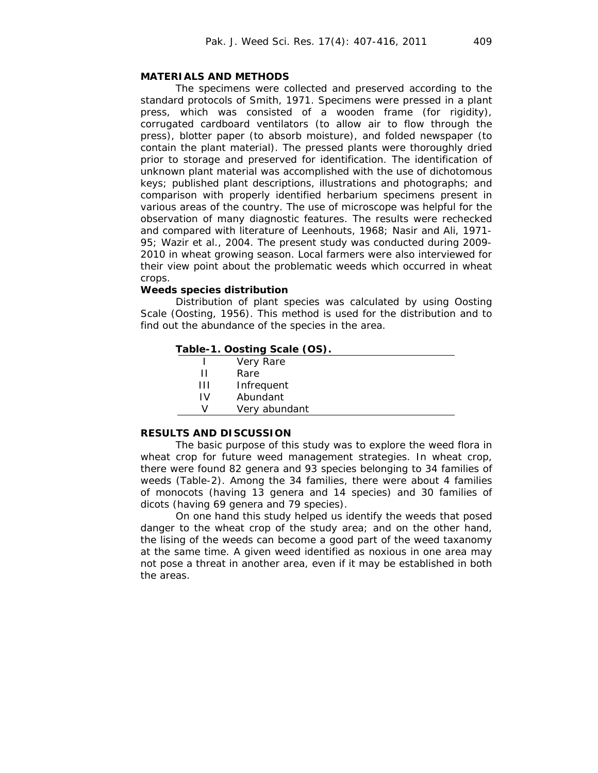# **MATERIALS AND METHODS**

The specimens were collected and preserved according to the standard protocols of Smith, 1971. Specimens were pressed in a plant press, which was consisted of a wooden frame (for rigidity), corrugated cardboard ventilators (to allow air to flow through the press), blotter paper (to absorb moisture), and folded newspaper (to contain the plant material). The pressed plants were thoroughly dried prior to storage and preserved for identification. The identification of unknown plant material was accomplished with the use of dichotomous keys; published plant descriptions, illustrations and photographs; and comparison with properly identified herbarium specimens present in various areas of the country. The use of microscope was helpful for the observation of many diagnostic features. The results were rechecked and compared with literature of Leenhouts, 1968; Nasir and Ali, 1971- 95; Wazir *et al.,* 2004. The present study was conducted during 2009- 2010 in wheat growing season. Local farmers were also interviewed for their view point about the problematic weeds which occurred in wheat crops.

#### **Weeds species distribution**

 Distribution of plant species was calculated by using Oosting Scale (Oosting, 1956). This method is used for the distribution and to find out the abundance of the species in the area.

#### **Table-1. Oosting Scale (OS).**

|    | Very Rare     |  |
|----|---------------|--|
| п  | Rare          |  |
| Ш  | Infrequent    |  |
| ١V | Abundant      |  |
| V  | Very abundant |  |
|    |               |  |

## **RESULTS AND DISCUSSION**

 The basic purpose of this study was to explore the weed flora in wheat crop for future weed management strategies. In wheat crop, there were found 82 genera and 93 species belonging to 34 families of weeds (Table-2). Among the 34 families, there were about 4 families of monocots (having 13 genera and 14 species) and 30 families of dicots (having 69 genera and 79 species).

On one hand this study helped us identify the weeds that posed danger to the wheat crop of the study area; and on the other hand, the lising of the weeds can become a good part of the weed taxanomy at the same time. A given weed identified as noxious in one area may not pose a threat in another area, even if it may be established in both the areas.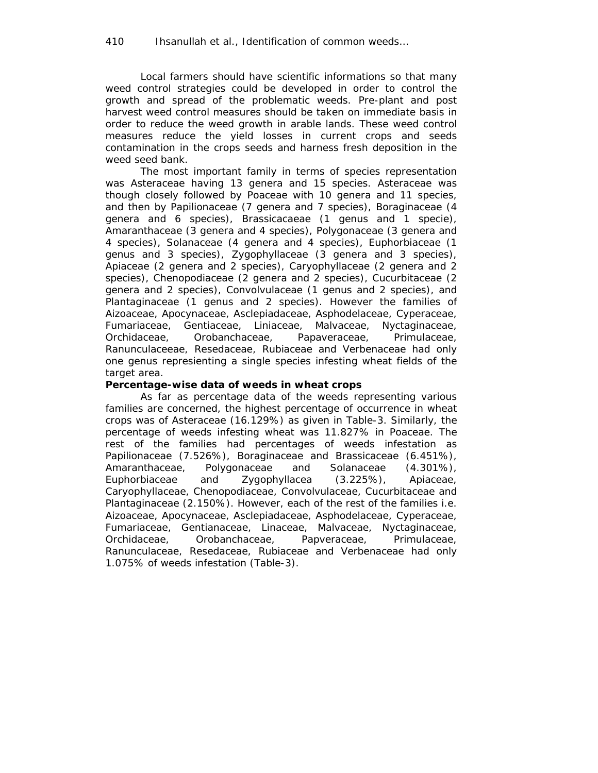Local farmers should have scientific informations so that many weed control strategies could be developed in order to control the growth and spread of the problematic weeds. Pre-plant and post harvest weed control measures should be taken on immediate basis in order to reduce the weed growth in arable lands. These weed control measures reduce the yield losses in current crops and seeds contamination in the crops seeds and harness fresh deposition in the weed seed bank.

 The most important family in terms of species representation was Asteraceae having 13 genera and 15 species. Asteraceae was though closely followed by Poaceae with 10 genera and 11 species, and then by Papilionaceae (7 genera and 7 species), Boraginaceae (4 genera and 6 species), Brassicacaeae (1 genus and 1 specie), Amaranthaceae (3 genera and 4 species), Polygonaceae (3 genera and 4 species), Solanaceae (4 genera and 4 species), Euphorbiaceae (1 genus and 3 species), Zygophyllaceae (3 genera and 3 species), Apiaceae (2 genera and 2 species), Caryophyllaceae (2 genera and 2 species), Chenopodiaceae (2 genera and 2 species), Cucurbitaceae (2 genera and 2 species), Convolvulaceae (1 genus and 2 species), and Plantaginaceae (1 genus and 2 species). However the families of Aizoaceae, Apocynaceae, Asclepiadaceae, Asphodelaceae, Cyperaceae, Fumariaceae, Gentiaceae, Liniaceae, Malvaceae, Nyctaginaceae, Orchidaceae, Orobanchaceae, Papaveraceae, Primulaceae, Ranunculaceeae, Resedaceae, Rubiaceae and Verbenaceae had only one genus represienting a single species infesting wheat fields of the target area.

### **Percentage-wise data of weeds in wheat crops**

 As far as percentage data of the weeds representing various families are concerned, the highest percentage of occurrence in wheat crops was of Asteraceae (16.129%) as given in Table-3. Similarly, the percentage of weeds infesting wheat was 11.827% in Poaceae. The rest of the families had percentages of weeds infestation as Papilionaceae (7.526%), Boraginaceae and Brassicaceae (6.451%), Amaranthaceae, Polygonaceae and Solanaceae (4.301%), Euphorbiaceae and Zygophyllacea (3.225%), Apiaceae, Caryophyllaceae, Chenopodiaceae, Convolvulaceae, Cucurbitaceae and Plantaginaceae (2.150%). However, each of the rest of the families i.e. Aizoaceae, Apocynaceae, Asclepiadaceae, Asphodelaceae, Cyperaceae, Fumariaceae, Gentianaceae, Linaceae, Malvaceae, Nyctaginaceae, Orchidaceae, Orobanchaceae, Papveraceae, Primulaceae, Ranunculaceae, Resedaceae, Rubiaceae and Verbenaceae had only 1.075% of weeds infestation (Table-3).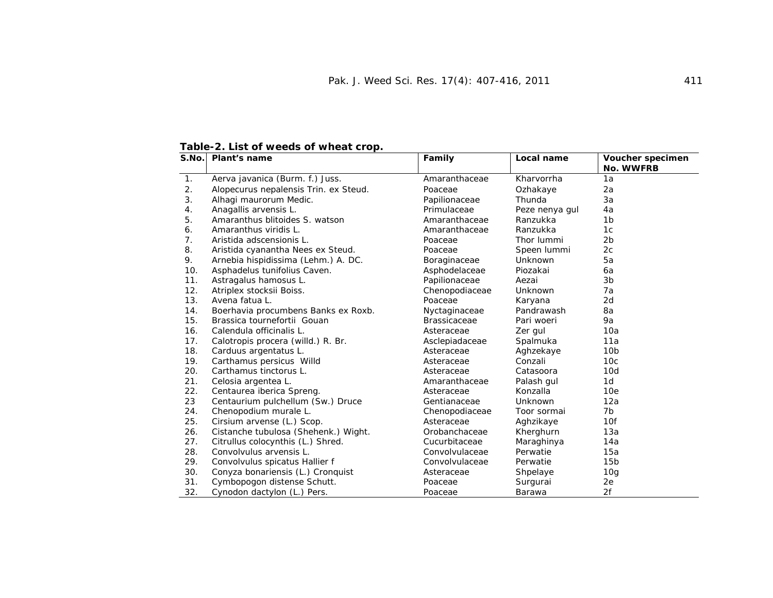| S.No.          | Plant's name                          | Family              | Local name     | Voucher specimen |
|----------------|---------------------------------------|---------------------|----------------|------------------|
| 1.             | Aerva javanica (Burm. f.) Juss.       | Amaranthaceae       | Kharvorrha     | No. WWFRB<br>1a  |
| 2.             |                                       | Poaceae             |                |                  |
| 3.             | Alopecurus nepalensis Trin. ex Steud. |                     | Ozhakaye       | 2a               |
|                | Alhagi maurorum Medic.                | Papilionaceae       | Thunda         | 3a               |
| 4.             | Anagallis arvensis L.                 | Primulaceae         | Peze nenya gul | 4a               |
| 5.             | Amaranthus blitoides S. watson        | Amaranthaceae       | Ranzukka       | 1b               |
| 6.             | Amaranthus viridis L.                 | Amaranthaceae       | Ranzukka       | 1c               |
| 7 <sub>1</sub> | Aristida adscensionis L.              | Poaceae             | Thor lummi     | 2b               |
| 8.             | Aristida cyanantha Nees ex Steud.     | Poaceae             | Speen lummi    | 2c               |
| 9.             | Arnebia hispidissima (Lehm.) A. DC.   | Boraginaceae        | Unknown        | 5a               |
| 10.            | Asphadelus tunifolius Caven.          | Asphodelaceae       | Piozakai       | 6a               |
| 11.            | Astragalus hamosus L.                 | Papilionaceae       | Aezai          | 3b               |
| 12.            | Atriplex stocksii Boiss.              | Chenopodiaceae      | Unknown        | 7a               |
| 13.            | Avena fatua L.                        | Poaceae             | Karyana        | 2d               |
| 14.            | Boerhavia procumbens Banks ex Roxb.   | Nyctaginaceae       | Pandrawash     | 8a               |
| 15.            | Brassica tournefortii Gouan           | <b>Brassicaceae</b> | Pari woeri     | 9a               |
| 16.            | Calendula officinalis L.              | Asteraceae          | Zer gul        | 10a              |
| 17.            | Calotropis procera (willd.) R. Br.    | Asclepiadaceae      | Spalmuka       | 11a              |
| 18.            | Carduus argentatus L.                 | Asteraceae          | Aghzekaye      | 10 <sub>b</sub>  |
| 19.            | Carthamus persicus Willd              | Asteraceae          | Conzali        | 10 <sub>c</sub>  |
| 20.            | Carthamus tinctorus L.                | Asteraceae          | Catasoora      | 10d              |
| 21.            | Celosia argentea L.                   | Amaranthaceae       | Palash gul     | 1d               |
| 22.            | Centaurea iberica Spreng.             | Asteraceae          | Konzalla       | 10e              |
| 23             | Centaurium pulchellum (Sw.) Druce     | Gentianaceae        | Unknown        | 12a              |
| 24.            | Chenopodium murale L.                 | Chenopodiaceae      | Toor sormai    | 7b               |
| 25.            | Cirsium arvense (L.) Scop.            | Asteraceae          | Aghzikaye      | 10f              |
| 26.            | Cistanche tubulosa (Shehenk.) Wight.  | Orobanchaceae       | Kherghurn      | 13a              |
| 27.            | Citrullus colocynthis (L.) Shred.     | Cucurbitaceae       | Maraghinya     | 14a              |
| 28.            | Convolvulus arvensis L.               | Convolvulaceae      | Perwatie       | 15a              |
| 29.            | Convolvulus spicatus Hallier f        | Convolvulaceae      | Perwatie       | 15 <sub>b</sub>  |
| 30.            | Conyza bonariensis (L.) Cronquist     | Asteraceae          | Shpelaye       | 10 <sub>g</sub>  |
| 31.            | Cymbopogon distense Schutt.           | Poaceae             | Surgurai       | 2e               |
| 32.            | Cynodon dactylon (L.) Pers.           | Poaceae             | Barawa         | 2f               |

**Table-2. List of weeds of wheat crop.**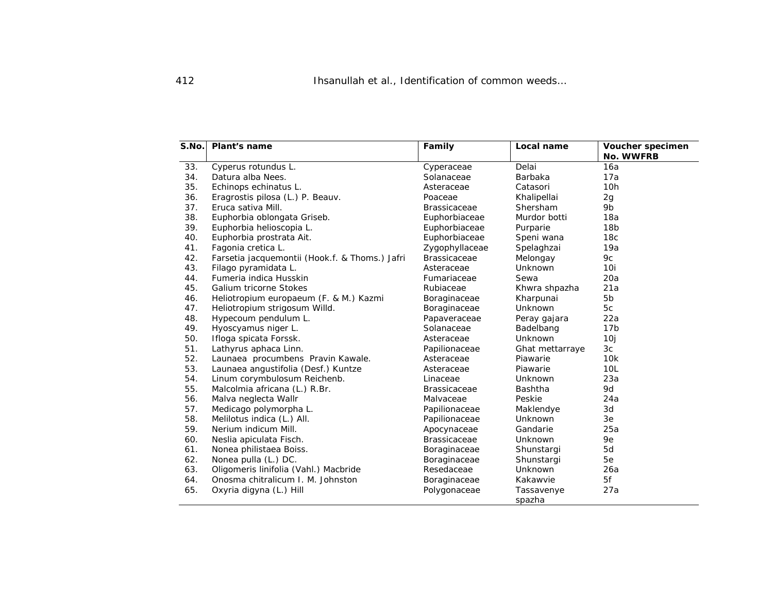| S.No. | Plant's name                                   | Family              | Local name      | Voucher specimen<br>No. WWFRB |
|-------|------------------------------------------------|---------------------|-----------------|-------------------------------|
| 33.   | Cyperus rotundus L.                            | Cyperaceae          | Delai           | 16a                           |
| 34.   | Datura alba Nees.                              | Solanaceae          | Barbaka         | 17a                           |
| 35.   | Echinops echinatus L.                          | Asteraceae          | Catasori        | 10 <sub>h</sub>               |
| 36.   | Eragrostis pilosa (L.) P. Beauv.               | Poaceae             | Khalipellai     | 2g                            |
| 37.   | Eruca sativa Mill.                             | <b>Brassicaceae</b> | Shersham        | 9b                            |
| 38.   | Euphorbia oblongata Griseb.                    | Euphorbiaceae       | Murdor botti    | 18a                           |
| 39.   | Euphorbia helioscopia L.                       | Euphorbiaceae       | Purparie        | 18 <sub>b</sub>               |
| 40.   | Euphorbia prostrata Ait.                       | Euphorbiaceae       | Speni wana      | 18 <sub>c</sub>               |
| 41.   | Fagonia cretica L.                             | Zygophyllaceae      | Spelaghzai      | 19a                           |
| 42.   | Farsetia jacquemontii (Hook.f. & Thoms.) Jafri | <b>Brassicaceae</b> | Melongay        | 9c                            |
| 43.   | Filago pyramidata L.                           | Asteraceae          | Unknown         | 10i                           |
| 44.   | Fumeria indica Husskin                         | Fumariaceae         | Sewa            | 20a                           |
| 45.   | Galium tricorne Stokes                         | Rubiaceae           | Khwra shpazha   | 21a                           |
| 46.   | Heliotropium europaeum (F. & M.) Kazmi         | Boraginaceae        | Kharpunai       | 5 <sub>b</sub>                |
| 47.   | Heliotropium strigosum Willd.                  | Boraginaceae        | Unknown         | 5c                            |
| 48.   | Hypecoum pendulum L.                           | Papaveraceae        | Peray gajara    | 22a                           |
| 49.   | Hyoscyamus niger L.                            | Solanaceae          | Badelbang       | 17 <sub>b</sub>               |
| 50.   | Ifloga spicata Forssk.                         | Asteraceae          | Unknown         | 10j                           |
| 51.   | Lathyrus aphaca Linn.                          | Papilionaceae       | Ghat mettarraye | 3c                            |
| 52.   | Launaea procumbens Pravin Kawale.              | Asteraceae          | Piawarie        | 10k                           |
| 53.   | Launaea angustifolia (Desf.) Kuntze            | Asteraceae          | Piawarie        | 10 <sub>L</sub>               |
| 54.   | Linum corymbulosum Reichenb.                   | Linaceae            | Unknown         | 23a                           |
| 55.   | Malcolmia africana (L.) R.Br.                  | <b>Brassicaceae</b> | <b>Bashtha</b>  | 9d                            |
| 56.   | Malva neglecta Wallr                           | Malvaceae           | Peskie          | 24a                           |
| 57.   | Medicago polymorpha L.                         | Papilionaceae       | Maklendye       | 3d                            |
| 58.   | Melilotus indica (L.) All.                     | Papilionaceae       | Unknown         | 3e                            |
| 59.   | Nerium indicum Mill.                           | Apocynaceae         | Gandarie        | 25a                           |
| 60.   | Neslia apiculata Fisch.                        | <b>Brassicaceae</b> | <b>Unknown</b>  | 9e                            |
| 61.   | Nonea philistaea Boiss.                        | Boraginaceae        | Shunstargi      | 5d                            |
| 62.   | Nonea pulla (L.) DC.                           | Boraginaceae        | Shunstargi      | 5e                            |
| 63.   | Oligomeris linifolia (Vahl.) Macbride          | Resedaceae          | <b>Unknown</b>  | 26a                           |
| 64.   | Onosma chitralicum I. M. Johnston              | Boraginaceae        | Kakawvie        | 5f                            |
| 65.   | Oxyria digyna (L.) Hill                        | Polygonaceae        | Tassavenye      | 27a                           |
|       |                                                |                     | spazha          |                               |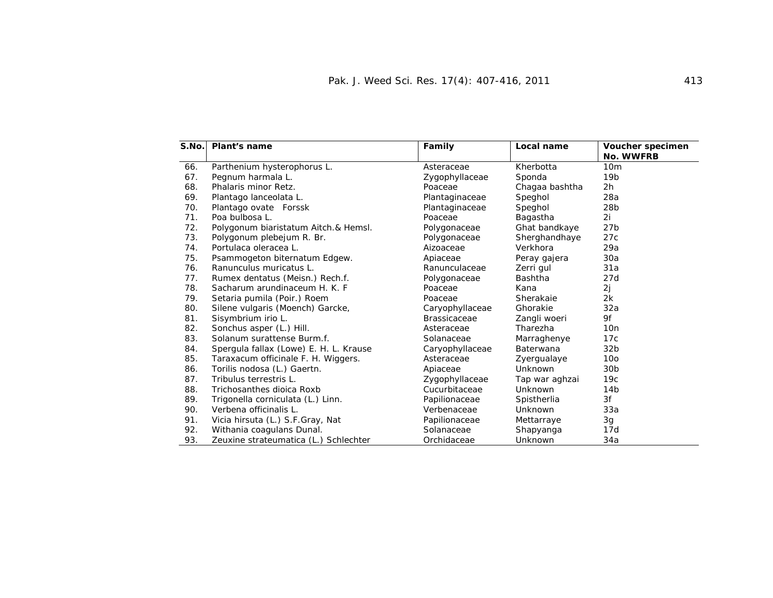| S.No. | <b>Plant's name</b>                    | Family              | Local name     | Voucher specimen |
|-------|----------------------------------------|---------------------|----------------|------------------|
|       |                                        |                     |                | <b>No. WWFRB</b> |
| 66.   | Parthenium hysterophorus L.            | Asteraceae          | Kherbotta      | 10 <sub>m</sub>  |
| 67.   | Pegnum harmala L.                      | Zygophyllaceae      | Sponda         | 19 <sub>b</sub>  |
| 68.   | Phalaris minor Retz.                   | Poaceae             | Chagaa bashtha | 2h               |
| 69.   | Plantago lanceolata L.                 | Plantaginaceae      | Speghol        | 28a              |
| 70.   | Plantago ovate Forssk                  | Plantaginaceae      | Speghol        | 28 <sub>b</sub>  |
| 71.   | Poa bulbosa L.                         | Poaceae             | Bagastha       | 2i               |
| 72.   | Polygonum biaristatum Aitch.& Hemsl.   | Polygonaceae        | Ghat bandkaye  | 27 <sub>b</sub>  |
| 73.   | Polygonum plebejum R. Br.              | Polygonaceae        | Sherghandhaye  | 27c              |
| 74.   | Portulaca oleracea L.                  | Aizoaceae           | Verkhora       | 29a              |
| 75.   | Psammogeton biternatum Edgew.          | Apiaceae            | Peray gajera   | 30a              |
| 76.   | Ranunculus muricatus L.                | Ranunculaceae       | Zerri gul      | 31a              |
| 77.   | Rumex dentatus (Meisn.) Rech.f.        | Polygonaceae        | Bashtha        | 27d              |
| 78.   | Sacharum arundinaceum H. K. F.         | Poaceae             | Kana           | 2j               |
| 79.   | Setaria pumila (Poir.) Roem            | Poaceae             | Sherakaie      | 2k               |
| 80.   | Silene vulgaris (Moench) Garcke,       | Caryophyllaceae     | Ghorakie       | 32a              |
| 81.   | Sisymbrium irio L.                     | <b>Brassicaceae</b> | Zangli woeri   | 9f               |
| 82.   | Sonchus asper (L.) Hill.               | Asteraceae          | Tharezha       | 10n              |
| 83.   | Solanum surattense Burm.f.             | Solanaceae          | Marraghenye    | 17c              |
| 84.   | Spergula fallax (Lowe) E. H. L. Krause | Caryophyllaceae     | Baterwana      | 32 <sub>b</sub>  |
| 85.   | Taraxacum officinale F. H. Wiggers.    | Asteraceae          | Zyergualaye    | 10 <sub>o</sub>  |
| 86.   | Torilis nodosa (L.) Gaertn.            | Apiaceae            | Unknown        | 30 <sub>b</sub>  |
| 87.   | Tribulus terrestris L.                 | Zygophyllaceae      | Tap war aghzai | 19c              |
| 88.   | Trichosanthes dioica Roxb              | Cucurbitaceae       | Unknown        | 14 <sub>b</sub>  |
| 89.   | Trigonella corniculata (L.) Linn.      | Papilionaceae       | Spistherlia    | 3f               |
| 90.   | Verbena officinalis L.                 | Verbenaceae         | Unknown        | 33a              |
| 91.   | Vicia hirsuta (L.) S.F.Gray, Nat       | Papilionaceae       | Mettarraye     | 3g               |
| 92.   | Withania coagulans Dunal.              | Solanaceae          | Shapyanga      | 17d              |
| 93.   | Zeuxine strateumatica (L.) Schlechter  | Orchidaceae         | Unknown        | 34a              |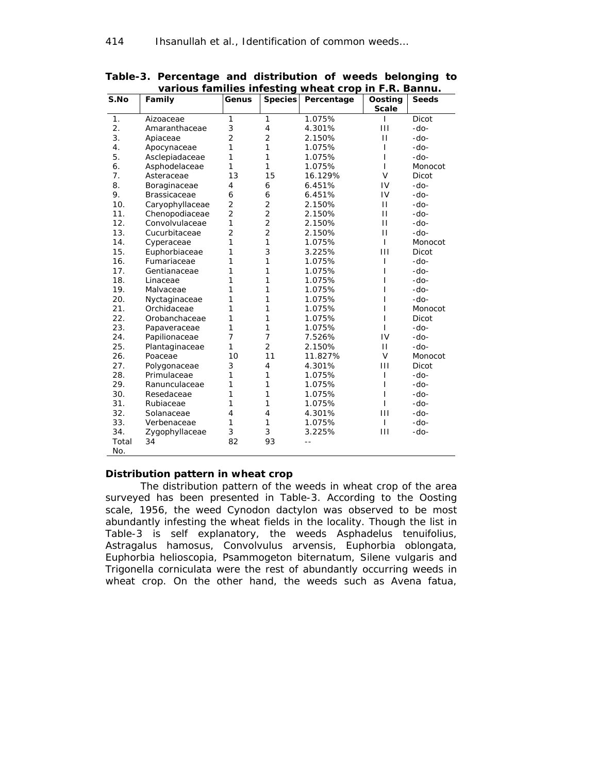|                  | various rammics inicsung |                |                | <b>THE STATE</b> |                         |              |
|------------------|--------------------------|----------------|----------------|------------------|-------------------------|--------------|
| S.No             | Family                   | Genus          | <b>Species</b> | Percentage       | Oosting<br><b>Scale</b> | <b>Seeds</b> |
| 1.               | Aizoaceae                | 1              | $\mathbf{1}$   | 1.075%           | T                       | Dicot        |
| $\overline{2}$ . | Amaranthaceae            | 3              | $\overline{4}$ | 4.301%           | $\mathbf{H}$            | $-do-$       |
| 3.               | Apiaceae                 | 2              | 2              | 2.150%           | $\mathbf{H}$            | $-do-$       |
| 4.               | Apocynaceae              | 1              | 1              | 1.075%           | I                       | -do-         |
| 5.               | Asclepiadaceae           | 1              | 1              | 1.075%           | I                       | $-do-$       |
| 6.               | Asphodelaceae            | 1              | 1              | 1.075%           | $\mathbf{I}$            | Monocot      |
| 7.               | Asteraceae               | 13             | 15             | 16.129%          | V                       | Dicot        |
| 8.               | Boraginaceae             | 4              | 6              | 6.451%           | IV                      | $-do-$       |
| 9.               | <b>Brassicaceae</b>      | 6              | 6              | 6.451%           | IV                      | $-do-$       |
| 10.              | Caryophyllaceae          | $\overline{2}$ | $\overline{2}$ | 2.150%           | $\mathbf{H}$            | $-do-$       |
| 11.              | Chenopodiaceae           | $\overline{2}$ | $\overline{2}$ | 2.150%           | $\mathbf{H}$            | $-do-$       |
| 12.              | Convolvulaceae           | 1              | 2              | 2.150%           | $\mathbf{H}$            | $-do-$       |
| 13.              | Cucurbitaceae            | 2              | $\overline{c}$ | 2.150%           | $\mathbf{H}$            | $-do-$       |
| 14.              | Cyperaceae               | 1              | 1              | 1.075%           | T                       | Monocot      |
| 15.              | Euphorbiaceae            | 1              | 3              | 3.225%           | Ш                       | Dicot        |
| 16.              | Fumariaceae              | 1              | 1              | 1.075%           | ı                       | $-do-$       |
| 17.              | Gentianaceae             | 1              | 1              | 1.075%           | I                       | $-do-$       |
| 18.              | Linaceae                 | 1              | 1              | 1.075%           |                         | -do-         |
| 19.              | Malvaceae                | 1              | 1              | 1.075%           |                         | -do-         |
| 20.              | Nyctaginaceae            | 1              | 1              | 1.075%           | ı                       | -do-         |
| 21.              | Orchidaceae              | 1              | 1              | 1.075%           | I                       | Monocot      |
| 22.              | Orobanchaceae            | 1              | 1              | 1.075%           | I                       | Dicot        |
| 23.              | Papaveraceae             | 1              | 1              | 1.075%           | ı                       | $-do-$       |
| 24.              | Papilionaceae            | 7              | $\overline{7}$ | 7.526%           | IV                      | $-do-$       |
| 25.              | Plantaginaceae           | 1              | $\overline{2}$ | 2.150%           | $\mathbf{H}$            | $-do-$       |
| 26.              | Poaceae                  | 10             | 11             | 11.827%          | V                       | Monocot      |
| 27.              | Polygonaceae             | 3              | $\overline{4}$ | 4.301%           | Ш                       | Dicot        |
| 28.              | Primulaceae              | 1              | 1              | 1.075%           | I                       | $-do-$       |
| 29.              | Ranunculaceae            | 1              | 1              | 1.075%           | I                       | -do-         |
| 30.              | Resedaceae               | 1              | 1              | 1.075%           | ı                       | $-do-$       |
| 31.              | Rubiaceae                | 1              | 1              | 1.075%           | ı                       | $-do-$       |
| 32.              | Solanaceae               | $\overline{4}$ | $\overline{4}$ | 4.301%           | Ш                       | $-do-$       |
| 33.              | Verbenaceae              | 1              | 1              | 1.075%           | $\mathsf{I}$            | -do-         |
| 34.              | Zygophyllaceae           | 3              | 3              | 3.225%           | Ш                       | $-do-$       |
| Total<br>No.     | 34                       | 82             | 93             |                  |                         |              |

**Table-3. Percentage and distribution of weeds belonging to various families infesting wheat crop in F.R. Bannu.** 

#### **Distribution pattern in wheat crop**

 The distribution pattern of the weeds in wheat crop of the area surveyed has been presented in Table-3. According to the Oosting scale, 1956, the weed *Cynodon dactylon* was observed to be most abundantly infesting the wheat fields in the locality. Though the list in Table-3 is self explanatory, the weeds *Asphadelus tenuifolius*, *Astragalus hamosus*, *Convolvulus arvensis*, *Euphorbia oblongata*, *Euphorbia helioscopia*, *Psammogeton biternatum*, *Silene vulgaris* and *Trigonella corniculata* were the rest of abundantly occurring weeds in wheat crop. On the other hand, the weeds such as *Avena fatua,*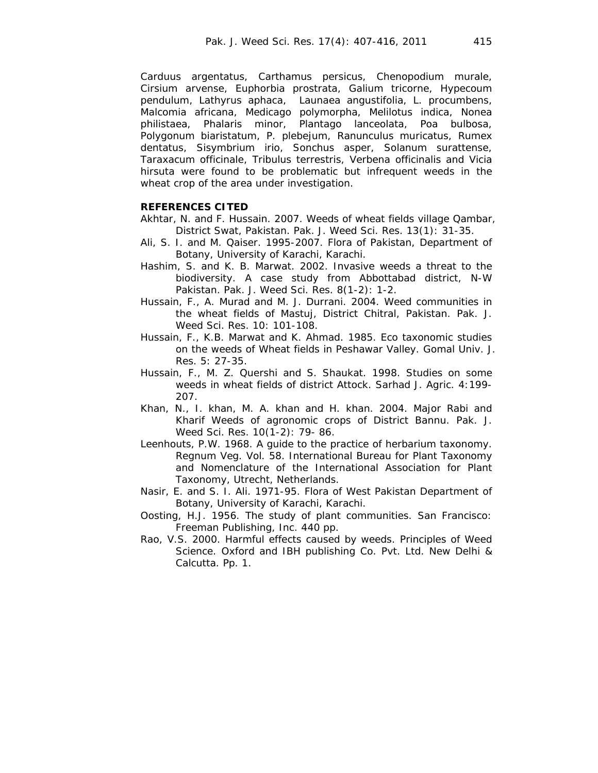*Carduus argentatus, Carthamus persicus, Chenopodium murale, Cirsium arvense, Euphorbia prostrata, Galium tricorne, Hypecoum pendulum, Lathyrus aphaca, Launaea angustifolia, L. procumbens, Malcomia africana, Medicago polymorpha, Melilotus indica, Nonea philistaea, Phalaris minor, Plantago lanceolata, Poa bulbosa, Polygonum biaristatum, P. plebejum, Ranunculus muricatus, Rumex dentatus, Sisymbrium irio, Sonchus asper, Solanum surattense, Taraxacum officinale, Tribulus terrestris, Verbena officinalis* and *Vicia hirsuta* were found to be problematic but infrequent weeds in the wheat crop of the area under investigation.

#### **REFERENCES CITED**

- Akhtar, N. and F. Hussain. 2007. Weeds of wheat fields village Qambar, District Swat, Pakistan. Pak. J. Weed Sci. Res. 13(1): 31-35.
- Ali, S. I. and M. Qaiser. 1995-2007. Flora of Pakistan, Department of Botany, University of Karachi, Karachi.
- Hashim, S. and K. B. Marwat. 2002. Invasive weeds a threat to the biodiversity. A case study from Abbottabad district, N-W Pakistan. Pak. J. Weed Sci. Res. 8(1-2): 1-2.
- Hussain, F., A. Murad and M. J. Durrani. 2004. Weed communities in the wheat fields of Mastuj, District Chitral, Pakistan. Pak. J. Weed Sci. Res. 10: 101-108.
- Hussain, F., K.B. Marwat and K. Ahmad. 1985. Eco taxonomic studies on the weeds of Wheat fields in Peshawar Valley. Gomal Univ. J. Res. 5: 27-35.
- Hussain, F., M. Z. Quershi and S. Shaukat. 1998. Studies on some weeds in wheat fields of district Attock. Sarhad J. Agric. 4:199- 207.
- Khan, N., I. khan, M. A. khan and H. khan. 2004. Major Rabi and Kharif Weeds of agronomic crops of District Bannu. Pak. J. Weed Sci. Res. 10(1-2): 79- 86.
- Leenhouts, P.W. 1968. A guide to the practice of herbarium taxonomy. Regnum Veg. Vol. 58. International Bureau for Plant Taxonomy and Nomenclature of the International Association for Plant Taxonomy, Utrecht, Netherlands.
- Nasir, E. and S. I. Ali. 1971-95. Flora of West Pakistan Department of Botany, University of Karachi, Karachi.
- Oosting, H.J. 1956. The study of plant communities. San Francisco: Freeman Publishing, Inc. 440 pp.
- Rao, V.S. 2000. Harmful effects caused by weeds. Principles of Weed Science. Oxford and IBH publishing Co. Pvt. Ltd. New Delhi & Calcutta. Pp. 1.